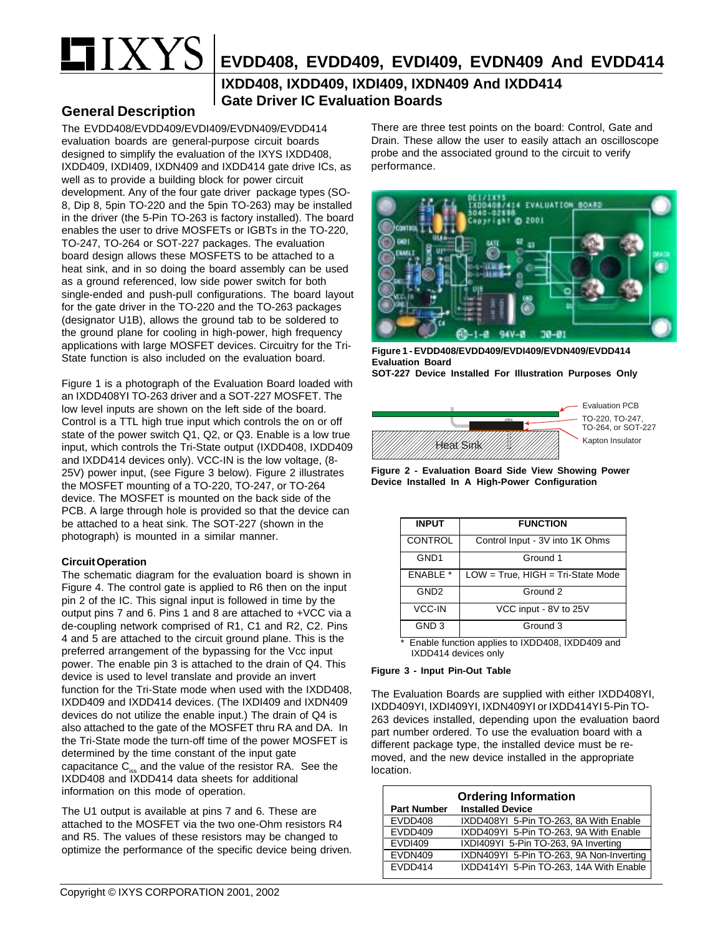# $XY$

# **EVDD408, EVDD409, EVDI409, EVDN409 And EVDD414**

### **IXDD408, IXDD409, IXDI409, IXDN409 And IXDD414 Gate Driver IC Evaluation Boards**

#### **General Description**

The EVDD408/EVDD409/EVDI409/EVDN409/EVDD414 evaluation boards are general-purpose circuit boards designed to simplify the evaluation of the IXYS IXDD408, IXDD409, IXDI409, IXDN409 and IXDD414 gate drive ICs, as well as to provide a building block for power circuit development. Any of the four gate driver package types (SO-8, Dip 8, 5pin TO-220 and the 5pin TO-263) may be installed in the driver (the 5-Pin TO-263 is factory installed). The board enables the user to drive MOSFETs or IGBTs in the TO-220, TO-247, TO-264 or SOT-227 packages. The evaluation board design allows these MOSFETS to be attached to a heat sink, and in so doing the board assembly can be used as a ground referenced, low side power switch for both single-ended and push-pull configurations. The board layout for the gate driver in the TO-220 and the TO-263 packages (designator U1B), allows the ground tab to be soldered to the ground plane for cooling in high-power, high frequency applications with large MOSFET devices. Circuitry for the Tri-State function is also included on the evaluation board.

Figure 1 is a photograph of the Evaluation Board loaded with an IXDD408YI TO-263 driver and a SOT-227 MOSFET. The low level inputs are shown on the left side of the board. Control is a TTL high true input which controls the on or off state of the power switch Q1, Q2, or Q3. Enable is a low true input, which controls the Tri-State output (IXDD408, IXDD409 and IXDD414 devices only). VCC-IN is the low voltage, (8- 25V) power input, (see Figure 3 below). Figure 2 illustrates the MOSFET mounting of a TO-220, TO-247, or TO-264 device. The MOSFET is mounted on the back side of the PCB. A large through hole is provided so that the device can be attached to a heat sink. The SOT-227 (shown in the photograph) is mounted in a similar manner.

#### **Circuit Operation**

The schematic diagram for the evaluation board is shown in Figure 4. The control gate is applied to R6 then on the input pin 2 of the IC. This signal input is followed in time by the output pins 7 and 6. Pins 1 and 8 are attached to +VCC via a de-coupling network comprised of R1, C1 and R2, C2. Pins 4 and 5 are attached to the circuit ground plane. This is the preferred arrangement of the bypassing for the Vcc input power. The enable pin 3 is attached to the drain of Q4. This device is used to level translate and provide an invert function for the Tri-State mode when used with the IXDD408, IXDD409 and IXDD414 devices. (The IXDI409 and IXDN409 devices do not utilize the enable input.) The drain of Q4 is also attached to the gate of the MOSFET thru RA and DA. In the Tri-State mode the turn-off time of the power MOSFET is determined by the time constant of the input gate capacitance  $C_{\text{iss}}$  and the value of the resistor RA. See the IXDD408 and IXDD414 data sheets for additional information on this mode of operation.

The U1 output is available at pins 7 and 6. These are attached to the MOSFET via the two one-Ohm resistors R4 and R5. The values of these resistors may be changed to optimize the performance of the specific device being driven. There are three test points on the board: Control, Gate and Drain. These allow the user to easily attach an oscilloscope probe and the associated ground to the circuit to verify performance.



**Figure 1 - EVDD408/EVDD409/EVDI409/EVDN409/EVDD414 Evaluation Board SOT-227 Device Installed For Illustration Purposes Only**



**Figure 2 - Evaluation Board Side View Showing Power Device Installed In A High-Power Configuration**

| <b>INPUT</b>     | <b>FUNCTION</b>                        |
|------------------|----------------------------------------|
| <b>CONTROL</b>   | Control Input - 3V into 1K Ohms        |
| GND <sub>1</sub> | Ground 1                               |
| <b>ENABLE *</b>  | $LOW = True$ , $HIGH = Tri-State Mode$ |
| GND <sub>2</sub> | Ground 2                               |
| VCC-IN           | VCC input - 8V to 25V                  |
| GND <sub>3</sub> | Ground 3                               |

\* Enable function applies to IXDD408, IXDD409 and IXDD414 devices only

#### **Figure 3 - Input Pin-Out Table**

The Evaluation Boards are supplied with either IXDD408YI, IXDD409YI, IXDI409YI, IXDN409YI or IXDD414YI 5-Pin TO-263 devices installed, depending upon the evaluation baord part number ordered. To use the evaluation board with a different package type, the installed device must be removed, and the new device installed in the appropriate location.

| <b>Ordering Information</b> |                                          |  |
|-----------------------------|------------------------------------------|--|
| <b>Part Number</b>          | <b>Installed Device</b>                  |  |
| EVDD408                     | IXDD408YI 5-Pin TO-263, 8A With Enable   |  |
| EVDD409                     | IXDD409YI 5-Pin TO-263, 9A With Enable   |  |
| <b>EVDI409</b>              | IXDI409YI 5-Pin TO-263, 9A Inverting     |  |
| EVDN409                     | IXDN409YI 5-Pin TO-263, 9A Non-Inverting |  |
| FVDD414                     | IXDD414YI 5-Pin TO-263, 14A With Enable  |  |